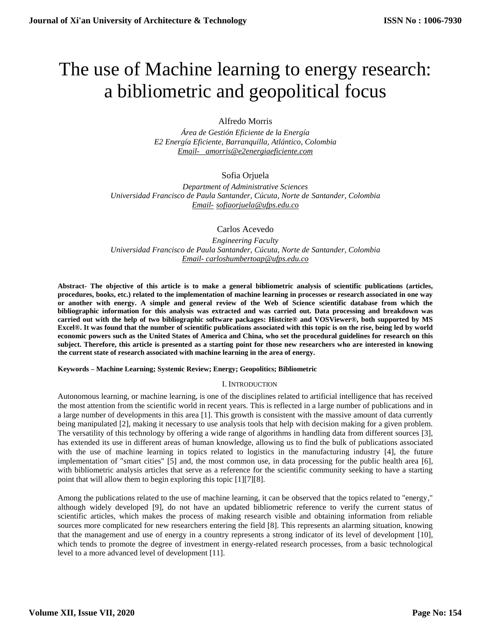# The use of Machine learning to energy research: a bibliometric and geopolitical focus

Alfredo Morris

*Área de Gestión Eficiente de la Energía E2 Energía Eficiente, Barranquilla, Atlántico, Colombia [Email- amorris@e2energiaeficiente.com](mailto:Email-%20%20%20amorris@e2energiaeficiente.com)*

## Sofia Orjuela

*Department of Administrative Sciences Universidad Francisco de Paula Santander, Cúcuta, Norte de Santander, Colombia Email- sofiaorjuela@ufps.edu.co*

Carlos Acevedo

*Engineering Faculty Universidad Francisco de Paula Santander, Cúcuta, Norte de Santander, Colombia Email- [carloshumbertoap@ufps.edu.co](mailto:carloshumbertoap@ufps.edu.co)*

**Abstract- The objective of this article is to make a general bibliometric analysis of scientific publications (articles, procedures, books, etc.) related to the implementation of machine learning in processes or research associated in one way or another with energy. A simple and general review of the Web of Science scientific database from which the bibliographic information for this analysis was extracted and was carried out. Data processing and breakdown was carried out with the help of two bibliographic software packages: Histcite® and VOSViewer®, both supported by MS Excel®. It was found that the number of scientific publications associated with this topic is on the rise, being led by world economic powers such as the United States of America and China, who set the procedural guidelines for research on this subject. Therefore, this article is presented as a starting point for those new researchers who are interested in knowing the current state of research associated with machine learning in the area of energy.**

**Keywords – Machine Learning; Systemic Review; Energy; Geopolitics; Bibliometric**

### I. INTRODUCTION

Autonomous learning, or machine learning, is one of the disciplines related to artificial intelligence that has received the most attention from the scientific world in recent years. This is reflected in a large number of publications and in a large number of developments in this area [1]. This growth is consistent with the massive amount of data currently being manipulated [2], making it necessary to use analysis tools that help with decision making for a given problem. The versatility of this technology by offering a wide range of algorithms in handling data from different sources [3], has extended its use in different areas of human knowledge, allowing us to find the bulk of publications associated with the use of machine learning in topics related to logistics in the manufacturing industry [4], the future implementation of "smart cities" [5] and, the most common use, in data processing for the public health area [6], with bibliometric analysis articles that serve as a reference for the scientific community seeking to have a starting point that will allow them to begin exploring this topic [1][7][8].

Among the publications related to the use of machine learning, it can be observed that the topics related to "energy," although widely developed [9], do not have an updated bibliometric reference to verify the current status of scientific articles, which makes the process of making research visible and obtaining information from reliable sources more complicated for new researchers entering the field [8]. This represents an alarming situation, knowing that the management and use of energy in a country represents a strong indicator of its level of development [10], which tends to promote the degree of investment in energy-related research processes, from a basic technological level to a more advanced level of development [11].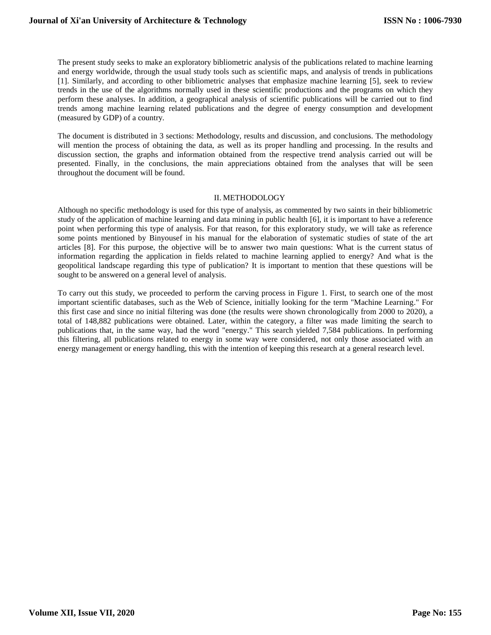The present study seeks to make an exploratory bibliometric analysis of the publications related to machine learning and energy worldwide, through the usual study tools such as scientific maps, and analysis of trends in publications [1]. Similarly, and according to other bibliometric analyses that emphasize machine learning [5], seek to review trends in the use of the algorithms normally used in these scientific productions and the programs on which they perform these analyses. In addition, a geographical analysis of scientific publications will be carried out to find trends among machine learning related publications and the degree of energy consumption and development (measured by GDP) of a country.

The document is distributed in 3 sections: Methodology, results and discussion, and conclusions. The methodology will mention the process of obtaining the data, as well as its proper handling and processing. In the results and discussion section, the graphs and information obtained from the respective trend analysis carried out will be presented. Finally, in the conclusions, the main appreciations obtained from the analyses that will be seen throughout the document will be found.

#### II. METHODOLOGY

Although no specific methodology is used for this type of analysis, as commented by two saints in their bibliometric study of the application of machine learning and data mining in public health [6], it is important to have a reference point when performing this type of analysis. For that reason, for this exploratory study, we will take as reference some points mentioned by Binyousef in his manual for the elaboration of systematic studies of state of the art articles [8]. For this purpose, the objective will be to answer two main questions: What is the current status of information regarding the application in fields related to machine learning applied to energy? And what is the geopolitical landscape regarding this type of publication? It is important to mention that these questions will be sought to be answered on a general level of analysis.

To carry out this study, we proceeded to perform the carving process in Figure 1. First, to search one of the most important scientific databases, such as the Web of Science, initially looking for the term "Machine Learning." For this first case and since no initial filtering was done (the results were shown chronologically from 2000 to 2020), a total of 148,882 publications were obtained. Later, within the category, a filter was made limiting the search to publications that, in the same way, had the word "energy." This search yielded 7,584 publications. In performing this filtering, all publications related to energy in some way were considered, not only those associated with an energy management or energy handling, this with the intention of keeping this research at a general research level.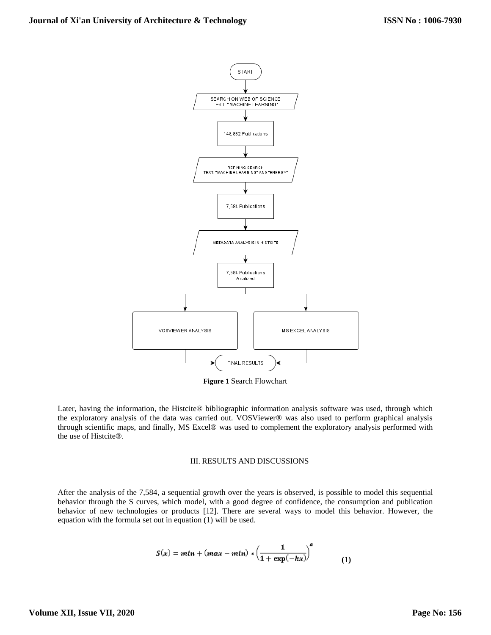

**Figure 1** Search Flowchart

Later, having the information, the Histcite® bibliographic information analysis software was used, through which the exploratory analysis of the data was carried out. VOSViewer® was also used to perform graphical analysis through scientific maps, and finally, MS Excel® was used to complement the exploratory analysis performed with the use of Histcite®.

#### III. RESULTS AND DISCUSSIONS

After the analysis of the 7,584, a sequential growth over the years is observed, is possible to model this sequential behavior through the S curves, which model, with a good degree of confidence, the consumption and publication behavior of new technologies or products [12]. There are several ways to model this behavior. However, the equation with the formula set out in equation (1) will be used.

$$
S(x) = min + (max - min) * \left(\frac{1}{1 + \exp(-kx)}\right)^a
$$
 (1)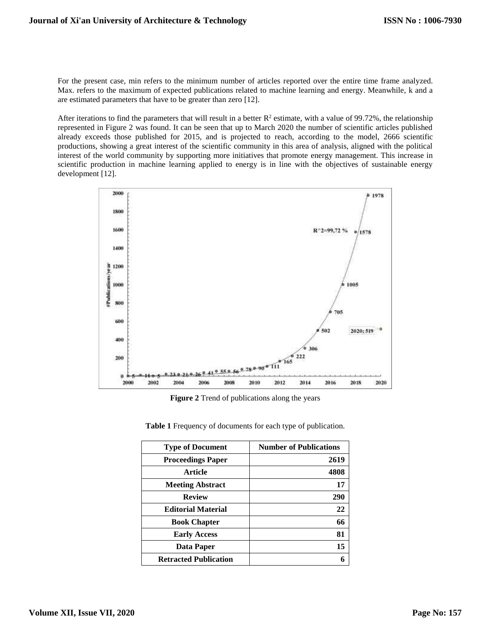For the present case, min refers to the minimum number of articles reported over the entire time frame analyzed. Max. refers to the maximum of expected publications related to machine learning and energy. Meanwhile, k and a are estimated parameters that have to be greater than zero [12].

After iterations to find the parameters that will result in a better  $R^2$  estimate, with a value of 99.72%, the relationship represented in Figure 2 was found. It can be seen that up to March 2020 the number of scientific articles published already exceeds those published for 2015, and is projected to reach, according to the model, 2666 scientific productions, showing a great interest of the scientific community in this area of analysis, aligned with the political interest of the world community by supporting more initiatives that promote energy management. This increase in scientific production in machine learning applied to energy is in line with the objectives of sustainable energy development [12].



**Figure 2** Trend of publications along the years

**Table 1** Frequency of documents for each type of publication.

| <b>Type of Document</b>      | <b>Number of Publications</b> |
|------------------------------|-------------------------------|
| <b>Proceedings Paper</b>     | 2619                          |
| <b>Article</b>               | 4808                          |
| <b>Meeting Abstract</b>      | 17                            |
| <b>Review</b>                | 290                           |
| <b>Editorial Material</b>    | 22                            |
| <b>Book Chapter</b>          | 66                            |
| <b>Early Access</b>          | 81                            |
| Data Paper                   | 15                            |
| <b>Retracted Publication</b> | 6                             |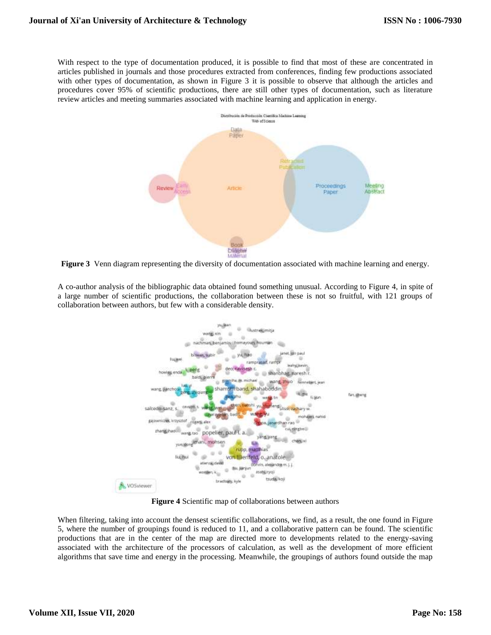With respect to the type of documentation produced, it is possible to find that most of these are concentrated in articles published in journals and those procedures extracted from conferences, finding few productions associated with other types of documentation, as shown in Figure 3 it is possible to observe that although the articles and procedures cover 95% of scientific productions, there are still other types of documentation, such as literature review articles and meeting summaries associated with machine learning and application in energy.



**Figure 3** Venn diagram representing the diversity of documentation associated with machine learning and energy.

A co-author analysis of the bibliographic data obtained found something unusual. According to Figure 4, in spite of a large number of scientific productions, the collaboration between these is not so fruitful, with 121 groups of collaboration between authors, but few with a considerable density.



**Figure 4** Scientific map of collaborations between authors

When filtering, taking into account the densest scientific collaborations, we find, as a result, the one found in Figure 5, where the number of groupings found is reduced to 11, and a collaborative pattern can be found. The scientific productions that are in the center of the map are directed more to developments related to the energy-saving associated with the architecture of the processors of calculation, as well as the development of more efficient algorithms that save time and energy in the processing. Meanwhile, the groupings of authors found outside the map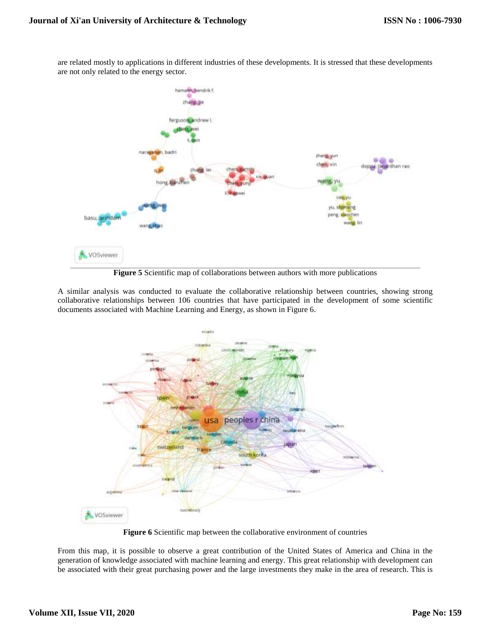are related mostly to applications in different industries of these developments. It is stressed that these developments are not only related to the energy sector.



**Figure 5** Scientific map of collaborations between authors with more publications

A similar analysis was conducted to evaluate the collaborative relationship between countries, showing strong collaborative relationships between 106 countries that have participated in the development of some scientific documents associated with Machine Learning and Energy, as shown in Figure 6.



**Figure 6** Scientific map between the collaborative environment of countries

From this map, it is possible to observe a great contribution of the United States of America and China in the generation of knowledge associated with machine learning and energy. This great relationship with development can be associated with their great purchasing power and the large investments they make in the area of research. This is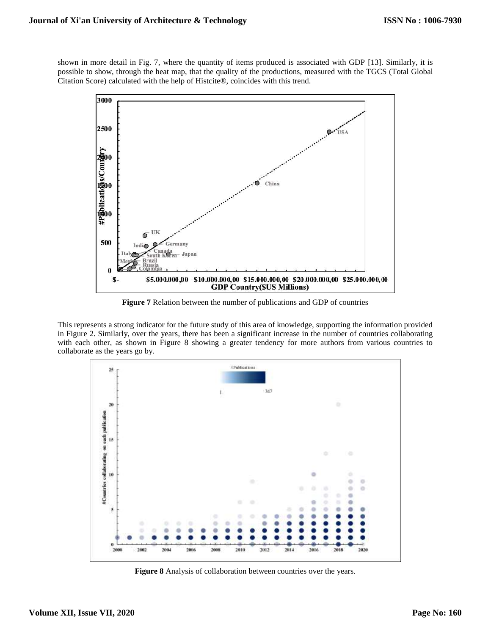shown in more detail in Fig. 7, where the quantity of items produced is associated with GDP [13]. Similarly, it is possible to show, through the heat map, that the quality of the productions, measured with the TGCS (Total Global Citation Score) calculated with the help of Histcite®, coincides with this trend.



**Figure 7** Relation between the number of publications and GDP of countries

This represents a strong indicator for the future study of this area of knowledge, supporting the information provided in Figure 2. Similarly, over the years, there has been a significant increase in the number of countries collaborating with each other, as shown in Figure 8 showing a greater tendency for more authors from various countries to collaborate as the years go by.



**Figure 8** Analysis of collaboration between countries over the years.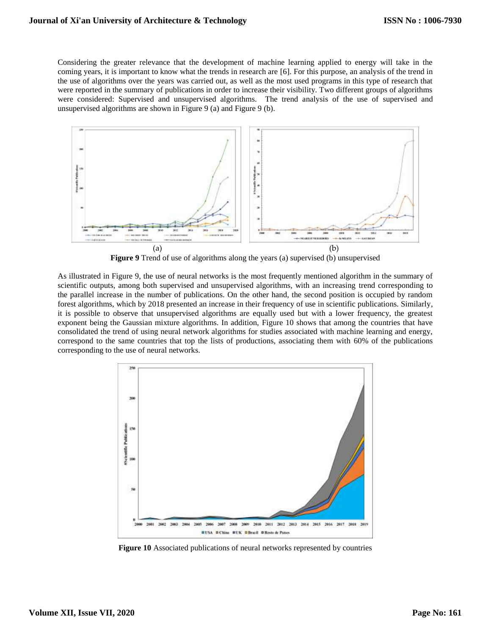Considering the greater relevance that the development of machine learning applied to energy will take in the coming years, it is important to know what the trends in research are [6]. For this purpose, an analysis of the trend in the use of algorithms over the years was carried out, as well as the most used programs in this type of research that were reported in the summary of publications in order to increase their visibility. Two different groups of algorithms were considered: Supervised and unsupervised algorithms. The trend analysis of the use of supervised and unsupervised algorithms are shown in Figure 9 (a) and Figure 9 (b).



**Figure 9** Trend of use of algorithms along the years (a) supervised (b) unsupervised

As illustrated in Figure 9, the use of neural networks is the most frequently mentioned algorithm in the summary of scientific outputs, among both supervised and unsupervised algorithms, with an increasing trend corresponding to the parallel increase in the number of publications. On the other hand, the second position is occupied by random forest algorithms, which by 2018 presented an increase in their frequency of use in scientific publications. Similarly, it is possible to observe that unsupervised algorithms are equally used but with a lower frequency, the greatest exponent being the Gaussian mixture algorithms. In addition, Figure 10 shows that among the countries that have consolidated the trend of using neural network algorithms for studies associated with machine learning and energy, correspond to the same countries that top the lists of productions, associating them with 60% of the publications corresponding to the use of neural networks.



**Figure 10** Associated publications of neural networks represented by countries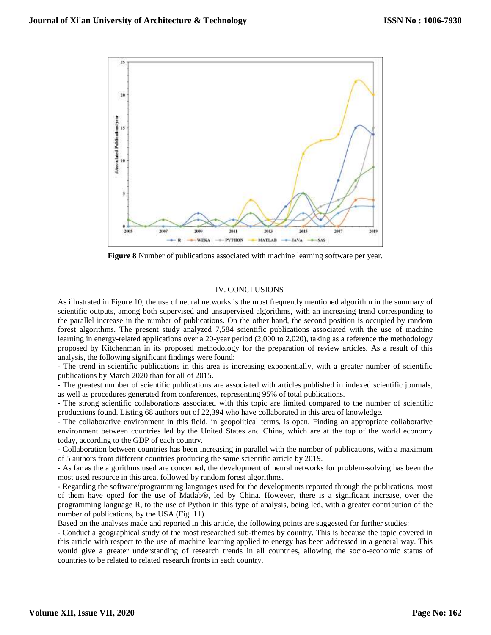

**Figure 8** Number of publications associated with machine learning software per year.

#### IV. CONCLUSIONS

As illustrated in Figure 10, the use of neural networks is the most frequently mentioned algorithm in the summary of scientific outputs, among both supervised and unsupervised algorithms, with an increasing trend corresponding to the parallel increase in the number of publications. On the other hand, the second position is occupied by random forest algorithms. The present study analyzed 7,584 scientific publications associated with the use of machine learning in energy-related applications over a 20-year period (2,000 to 2,020), taking as a reference the methodology proposed by Kitchenman in its proposed methodology for the preparation of review articles. As a result of this analysis, the following significant findings were found:

- The trend in scientific publications in this area is increasing exponentially, with a greater number of scientific publications by March 2020 than for all of 2015.

- The greatest number of scientific publications are associated with articles published in indexed scientific journals, as well as procedures generated from conferences, representing 95% of total publications.

- The strong scientific collaborations associated with this topic are limited compared to the number of scientific productions found. Listing 68 authors out of 22,394 who have collaborated in this area of knowledge.

- The collaborative environment in this field, in geopolitical terms, is open. Finding an appropriate collaborative environment between countries led by the United States and China, which are at the top of the world economy today, according to the GDP of each country.

- Collaboration between countries has been increasing in parallel with the number of publications, with a maximum of 5 authors from different countries producing the same scientific article by 2019.

- As far as the algorithms used are concerned, the development of neural networks for problem-solving has been the most used resource in this area, followed by random forest algorithms.

- Regarding the software/programming languages used for the developments reported through the publications, most of them have opted for the use of Matlab®, led by China. However, there is a significant increase, over the programming language R, to the use of Python in this type of analysis, being led, with a greater contribution of the number of publications, by the USA (Fig. 11).

Based on the analyses made and reported in this article, the following points are suggested for further studies:

- Conduct a geographical study of the most researched sub-themes by country. This is because the topic covered in this article with respect to the use of machine learning applied to energy has been addressed in a general way. This would give a greater understanding of research trends in all countries, allowing the socio-economic status of countries to be related to related research fronts in each country.